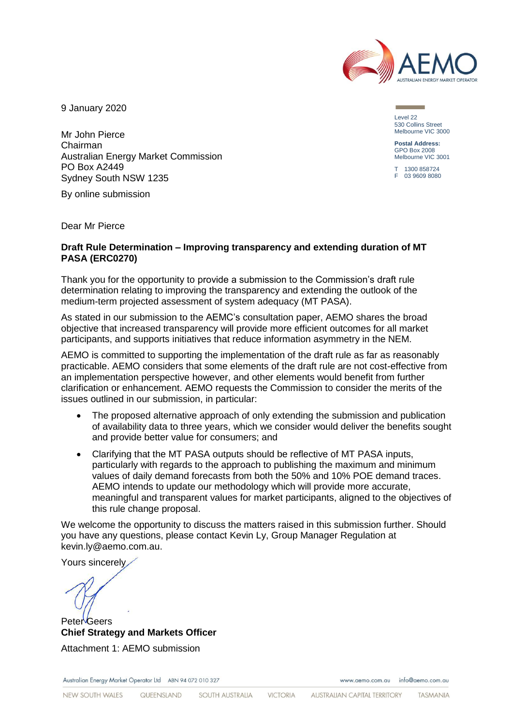

9 January 2020

Mr John Pierce Chairman Australian Energy Market Commission PO Box A2449 Sydney South NSW 1235

By online submission

Dear Mr Pierce

#### **Draft Rule Determination – Improving transparency and extending duration of MT PASA (ERC0270)**

Thank you for the opportunity to provide a submission to the Commission's draft rule determination relating to improving the transparency and extending the outlook of the medium-term projected assessment of system adequacy (MT PASA).

As stated in our submission to the AEMC's consultation paper, AEMO shares the broad objective that increased transparency will provide more efficient outcomes for all market participants, and supports initiatives that reduce information asymmetry in the NEM.

AEMO is committed to supporting the implementation of the draft rule as far as reasonably practicable. AEMO considers that some elements of the draft rule are not cost-effective from an implementation perspective however, and other elements would benefit from further clarification or enhancement. AEMO requests the Commission to consider the merits of the issues outlined in our submission, in particular:

- The proposed alternative approach of only extending the submission and publication of availability data to three years, which we consider would deliver the benefits sought and provide better value for consumers; and
- Clarifying that the MT PASA outputs should be reflective of MT PASA inputs, particularly with regards to the approach to publishing the maximum and minimum values of daily demand forecasts from both the 50% and 10% POE demand traces. AEMO intends to update our methodology which will provide more accurate, meaningful and transparent values for market participants, aligned to the objectives of this rule change proposal.

We welcome the opportunity to discuss the matters raised in this submission further. Should you have any questions, please contact Kevin Ly, Group Manager Regulation at kevin.ly@aemo.com.au.

Yours sincerely

Peter Geers **Chief Strategy and Markets Officer** Attachment 1: AEMO submission

Australian Energy Market Operator Ltd ABN 94 072 010 327

www.gemo.com.gu info@gemo.com.gu

Level 22 530 Collins Street Melbourne VIC 3000

**Postal Address:** GPO Box 2008 Melbourne VIC 3001

 $-1300858724$ F 03 9609 8080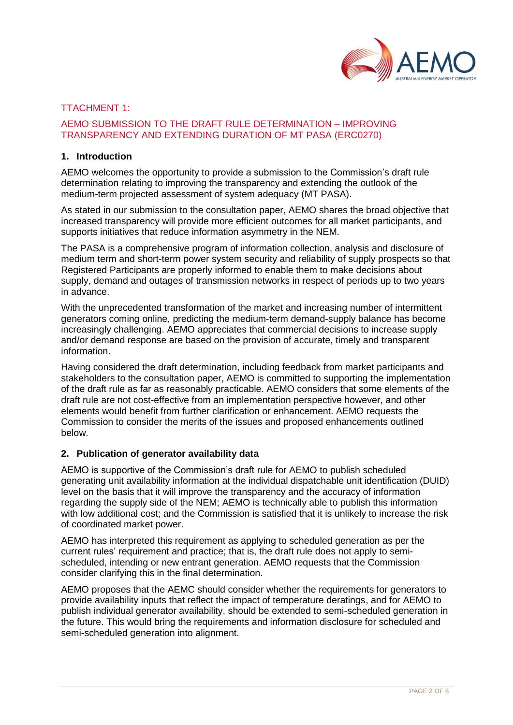

#### TTACHMENT 1:

# AEMO SUBMISSION TO THE DRAFT RULE DETERMINATION – IMPROVING TRANSPARENCY AND EXTENDING DURATION OF MT PASA (ERC0270)

#### **1. Introduction**

AEMO welcomes the opportunity to provide a submission to the Commission's draft rule determination relating to improving the transparency and extending the outlook of the medium-term projected assessment of system adequacy (MT PASA).

As stated in our submission to the consultation paper, AEMO shares the broad objective that increased transparency will provide more efficient outcomes for all market participants, and supports initiatives that reduce information asymmetry in the NEM.

The PASA is a comprehensive program of information collection, analysis and disclosure of medium term and short-term power system security and reliability of supply prospects so that Registered Participants are properly informed to enable them to make decisions about supply, demand and outages of transmission networks in respect of periods up to two years in advance.

With the unprecedented transformation of the market and increasing number of intermittent generators coming online, predicting the medium-term demand-supply balance has become increasingly challenging. AEMO appreciates that commercial decisions to increase supply and/or demand response are based on the provision of accurate, timely and transparent information.

Having considered the draft determination, including feedback from market participants and stakeholders to the consultation paper, AEMO is committed to supporting the implementation of the draft rule as far as reasonably practicable. AEMO considers that some elements of the draft rule are not cost-effective from an implementation perspective however, and other elements would benefit from further clarification or enhancement. AEMO requests the Commission to consider the merits of the issues and proposed enhancements outlined below.

#### **2. Publication of generator availability data**

AEMO is supportive of the Commission's draft rule for AEMO to publish scheduled generating unit availability information at the individual dispatchable unit identification (DUID) level on the basis that it will improve the transparency and the accuracy of information regarding the supply side of the NEM; AEMO is technically able to publish this information with low additional cost; and the Commission is satisfied that it is unlikely to increase the risk of coordinated market power.

AEMO has interpreted this requirement as applying to scheduled generation as per the current rules' requirement and practice; that is, the draft rule does not apply to semischeduled, intending or new entrant generation. AEMO requests that the Commission consider clarifying this in the final determination.

AEMO proposes that the AEMC should consider whether the requirements for generators to provide availability inputs that reflect the impact of temperature deratings, and for AEMO to publish individual generator availability, should be extended to semi-scheduled generation in the future. This would bring the requirements and information disclosure for scheduled and semi-scheduled generation into alignment.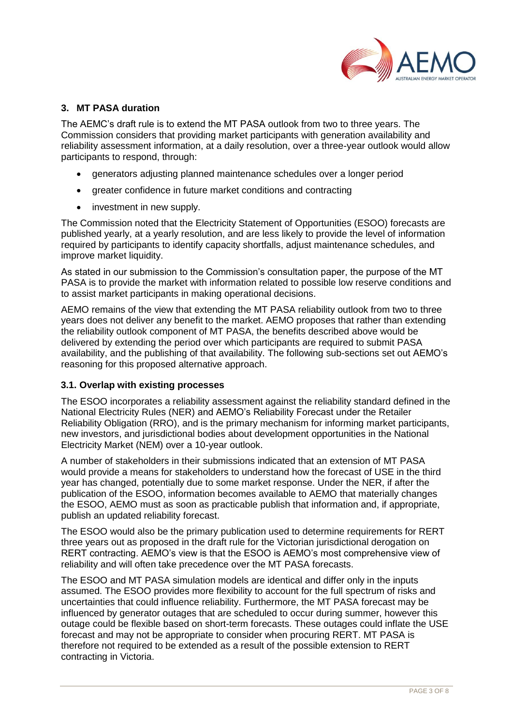

# **3. MT PASA duration**

The AEMC's draft rule is to extend the MT PASA outlook from two to three years. The Commission considers that providing market participants with generation availability and reliability assessment information, at a daily resolution, over a three-year outlook would allow participants to respond, through:

- generators adjusting planned maintenance schedules over a longer period
- greater confidence in future market conditions and contracting
- investment in new supply.

The Commission noted that the Electricity Statement of Opportunities (ESOO) forecasts are published yearly, at a yearly resolution, and are less likely to provide the level of information required by participants to identify capacity shortfalls, adjust maintenance schedules, and improve market liquidity.

As stated in our submission to the Commission's consultation paper, the purpose of the MT PASA is to provide the market with information related to possible low reserve conditions and to assist market participants in making operational decisions.

AEMO remains of the view that extending the MT PASA reliability outlook from two to three years does not deliver any benefit to the market. AEMO proposes that rather than extending the reliability outlook component of MT PASA, the benefits described above would be delivered by extending the period over which participants are required to submit PASA availability, and the publishing of that availability. The following sub-sections set out AEMO's reasoning for this proposed alternative approach.

# **3.1. Overlap with existing processes**

The ESOO incorporates a reliability assessment against the reliability standard defined in the National Electricity Rules (NER) and AEMO's Reliability Forecast under the Retailer Reliability Obligation (RRO), and is the primary mechanism for informing market participants, new investors, and jurisdictional bodies about development opportunities in the National Electricity Market (NEM) over a 10-year outlook.

A number of stakeholders in their submissions indicated that an extension of MT PASA would provide a means for stakeholders to understand how the forecast of USE in the third year has changed, potentially due to some market response. Under the NER, if after the publication of the ESOO, information becomes available to AEMO that materially changes the ESOO, AEMO must as soon as practicable publish that information and, if appropriate, publish an updated reliability forecast.

The ESOO would also be the primary publication used to determine requirements for RERT three years out as proposed in the draft rule for the Victorian jurisdictional derogation on RERT contracting. AEMO's view is that the ESOO is AEMO's most comprehensive view of reliability and will often take precedence over the MT PASA forecasts.

The ESOO and MT PASA simulation models are identical and differ only in the inputs assumed. The ESOO provides more flexibility to account for the full spectrum of risks and uncertainties that could influence reliability. Furthermore, the MT PASA forecast may be influenced by generator outages that are scheduled to occur during summer, however this outage could be flexible based on short-term forecasts. These outages could inflate the USE forecast and may not be appropriate to consider when procuring RERT. MT PASA is therefore not required to be extended as a result of the possible extension to RERT contracting in Victoria.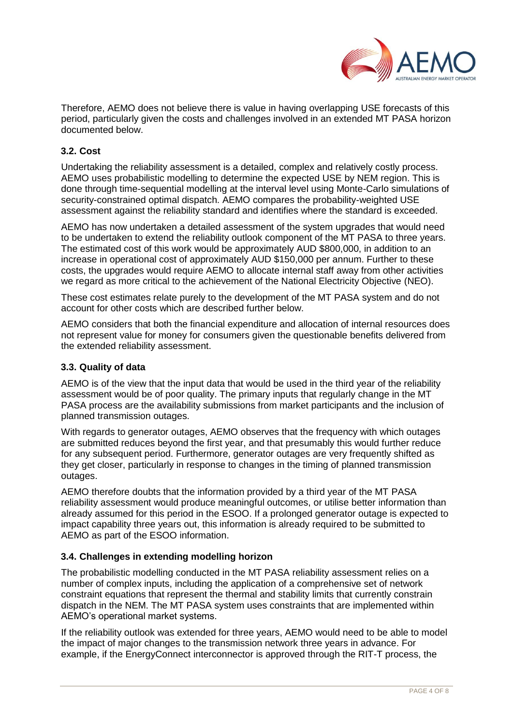

Therefore, AEMO does not believe there is value in having overlapping USE forecasts of this period, particularly given the costs and challenges involved in an extended MT PASA horizon documented below.

# **3.2. Cost**

Undertaking the reliability assessment is a detailed, complex and relatively costly process. AEMO uses probabilistic modelling to determine the expected USE by NEM region. This is done through time-sequential modelling at the interval level using Monte-Carlo simulations of security-constrained optimal dispatch. AEMO compares the probability-weighted USE assessment against the reliability standard and identifies where the standard is exceeded.

AEMO has now undertaken a detailed assessment of the system upgrades that would need to be undertaken to extend the reliability outlook component of the MT PASA to three years. The estimated cost of this work would be approximately AUD \$800,000, in addition to an increase in operational cost of approximately AUD \$150,000 per annum. Further to these costs, the upgrades would require AEMO to allocate internal staff away from other activities we regard as more critical to the achievement of the National Electricity Objective (NEO).

These cost estimates relate purely to the development of the MT PASA system and do not account for other costs which are described further below.

AEMO considers that both the financial expenditure and allocation of internal resources does not represent value for money for consumers given the questionable benefits delivered from the extended reliability assessment.

# **3.3. Quality of data**

AEMO is of the view that the input data that would be used in the third year of the reliability assessment would be of poor quality. The primary inputs that regularly change in the MT PASA process are the availability submissions from market participants and the inclusion of planned transmission outages.

With regards to generator outages, AEMO observes that the frequency with which outages are submitted reduces beyond the first year, and that presumably this would further reduce for any subsequent period. Furthermore, generator outages are very frequently shifted as they get closer, particularly in response to changes in the timing of planned transmission outages.

AEMO therefore doubts that the information provided by a third year of the MT PASA reliability assessment would produce meaningful outcomes, or utilise better information than already assumed for this period in the ESOO. If a prolonged generator outage is expected to impact capability three years out, this information is already required to be submitted to AEMO as part of the ESOO information.

# **3.4. Challenges in extending modelling horizon**

The probabilistic modelling conducted in the MT PASA reliability assessment relies on a number of complex inputs, including the application of a comprehensive set of network constraint equations that represent the thermal and stability limits that currently constrain dispatch in the NEM. The MT PASA system uses constraints that are implemented within AEMO's operational market systems.

If the reliability outlook was extended for three years, AEMO would need to be able to model the impact of major changes to the transmission network three years in advance. For example, if the EnergyConnect interconnector is approved through the RIT-T process, the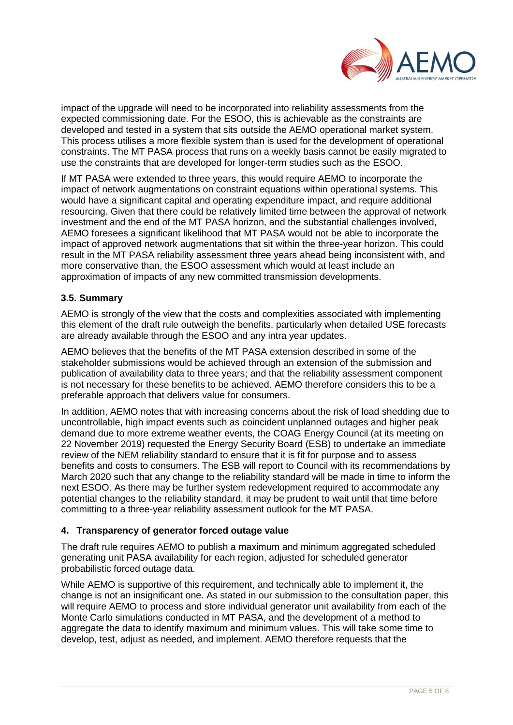

impact of the upgrade will need to be incorporated into reliability assessments from the expected commissioning date. For the ESOO, this is achievable as the constraints are developed and tested in a system that sits outside the AEMO operational market system. This process utilises a more flexible system than is used for the development of operational constraints. The MT PASA process that runs on a weekly basis cannot be easily migrated to use the constraints that are developed for longer-term studies such as the ESOO.

If MT PASA were extended to three years, this would require AEMO to incorporate the impact of network augmentations on constraint equations within operational systems. This would have a significant capital and operating expenditure impact, and require additional resourcing. Given that there could be relatively limited time between the approval of network investment and the end of the MT PASA horizon, and the substantial challenges involved, AEMO foresees a significant likelihood that MT PASA would not be able to incorporate the impact of approved network augmentations that sit within the three-year horizon. This could result in the MT PASA reliability assessment three years ahead being inconsistent with, and more conservative than, the ESOO assessment which would at least include an approximation of impacts of any new committed transmission developments.

# **3.5. Summary**

AEMO is strongly of the view that the costs and complexities associated with implementing this element of the draft rule outweigh the benefits, particularly when detailed USE forecasts are already available through the ESOO and any intra year updates.

AEMO believes that the benefits of the MT PASA extension described in some of the stakeholder submissions would be achieved through an extension of the submission and publication of availability data to three years; and that the reliability assessment component is not necessary for these benefits to be achieved. AEMO therefore considers this to be a preferable approach that delivers value for consumers.

In addition, AEMO notes that with increasing concerns about the risk of load shedding due to uncontrollable, high impact events such as coincident unplanned outages and higher peak demand due to more extreme weather events, the COAG Energy Council (at its meeting on 22 November 2019) requested the Energy Security Board (ESB) to undertake an immediate review of the NEM reliability standard to ensure that it is fit for purpose and to assess benefits and costs to consumers. The ESB will report to Council with its recommendations by March 2020 such that any change to the reliability standard will be made in time to inform the next ESOO. As there may be further system redevelopment required to accommodate any potential changes to the reliability standard, it may be prudent to wait until that time before committing to a three-year reliability assessment outlook for the MT PASA.

# **4. Transparency of generator forced outage value**

The draft rule requires AEMO to publish a maximum and minimum aggregated scheduled generating unit PASA availability for each region, adjusted for scheduled generator probabilistic forced outage data.

While AEMO is supportive of this requirement, and technically able to implement it, the change is not an insignificant one. As stated in our submission to the consultation paper, this will require AEMO to process and store individual generator unit availability from each of the Monte Carlo simulations conducted in MT PASA, and the development of a method to aggregate the data to identify maximum and minimum values. This will take some time to develop, test, adjust as needed, and implement. AEMO therefore requests that the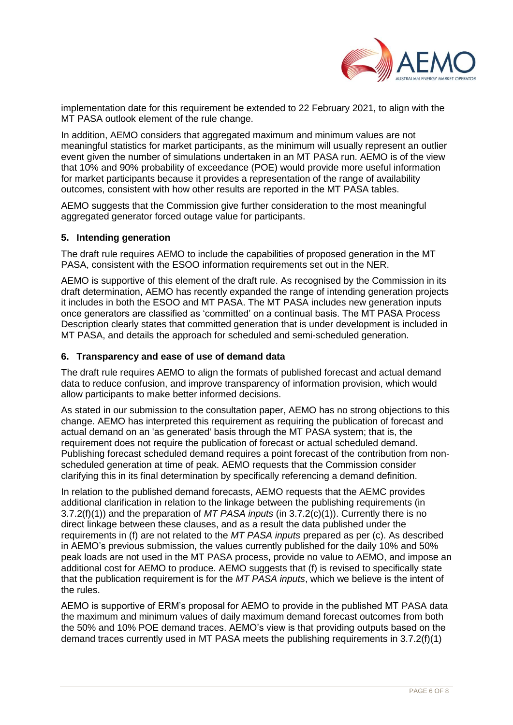

implementation date for this requirement be extended to 22 February 2021, to align with the MT PASA outlook element of the rule change.

In addition, AEMO considers that aggregated maximum and minimum values are not meaningful statistics for market participants, as the minimum will usually represent an outlier event given the number of simulations undertaken in an MT PASA run. AEMO is of the view that 10% and 90% probability of exceedance (POE) would provide more useful information for market participants because it provides a representation of the range of availability outcomes, consistent with how other results are reported in the MT PASA tables.

AEMO suggests that the Commission give further consideration to the most meaningful aggregated generator forced outage value for participants.

#### **5. Intending generation**

The draft rule requires AEMO to include the capabilities of proposed generation in the MT PASA, consistent with the ESOO information requirements set out in the NER.

AEMO is supportive of this element of the draft rule. As recognised by the Commission in its draft determination, AEMO has recently expanded the range of intending generation projects it includes in both the ESOO and MT PASA. The MT PASA includes new generation inputs once generators are classified as 'committed' on a continual basis. The MT PASA Process Description clearly states that committed generation that is under development is included in MT PASA, and details the approach for scheduled and semi-scheduled generation.

#### **6. Transparency and ease of use of demand data**

The draft rule requires AEMO to align the formats of published forecast and actual demand data to reduce confusion, and improve transparency of information provision, which would allow participants to make better informed decisions.

As stated in our submission to the consultation paper, AEMO has no strong objections to this change. AEMO has interpreted this requirement as requiring the publication of forecast and actual demand on an 'as generated' basis through the MT PASA system; that is, the requirement does not require the publication of forecast or actual scheduled demand. Publishing forecast scheduled demand requires a point forecast of the contribution from nonscheduled generation at time of peak. AEMO requests that the Commission consider clarifying this in its final determination by specifically referencing a demand definition.

In relation to the published demand forecasts, AEMO requests that the AEMC provides additional clarification in relation to the linkage between the publishing requirements (in 3.7.2(f)(1)) and the preparation of *MT PASA inputs* (in 3.7.2(c)(1)). Currently there is no direct linkage between these clauses, and as a result the data published under the requirements in (f) are not related to the *MT PASA inputs* prepared as per (c). As described in AEMO's previous submission, the values currently published for the daily 10% and 50% peak loads are not used in the MT PASA process, provide no value to AEMO, and impose an additional cost for AEMO to produce. AEMO suggests that (f) is revised to specifically state that the publication requirement is for the *MT PASA inputs*, which we believe is the intent of the rules.

AEMO is supportive of ERM's proposal for AEMO to provide in the published MT PASA data the maximum and minimum values of daily maximum demand forecast outcomes from both the 50% and 10% POE demand traces. AEMO's view is that providing outputs based on the demand traces currently used in MT PASA meets the publishing requirements in 3.7.2(f)(1)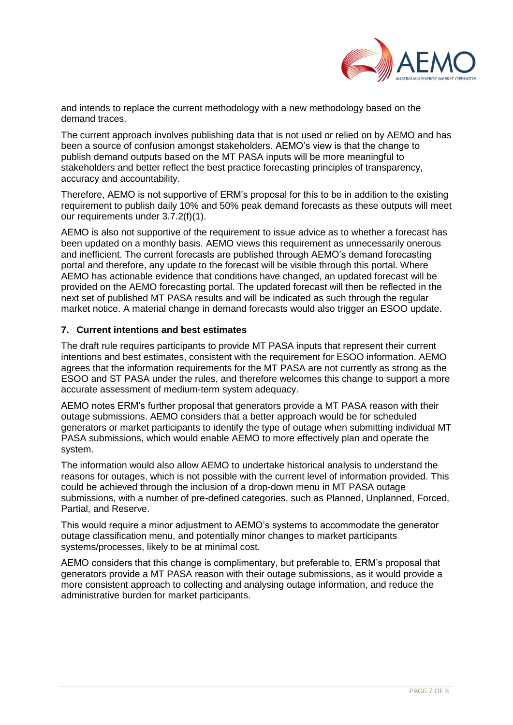

and intends to replace the current methodology with a new methodology based on the demand traces.

The current approach involves publishing data that is not used or relied on by AEMO and has been a source of confusion amongst stakeholders. AEMO's view is that the change to publish demand outputs based on the MT PASA inputs will be more meaningful to stakeholders and better reflect the best practice forecasting principles of transparency, accuracy and accountability.

Therefore, AEMO is not supportive of ERM's proposal for this to be in addition to the existing requirement to publish daily 10% and 50% peak demand forecasts as these outputs will meet our requirements under 3.7.2(f)(1).

AEMO is also not supportive of the requirement to issue advice as to whether a forecast has been updated on a monthly basis. AEMO views this requirement as unnecessarily onerous and inefficient. The current forecasts are published through AEMO's demand forecasting portal and therefore, any update to the forecast will be visible through this portal. Where AEMO has actionable evidence that conditions have changed, an updated forecast will be provided on the AEMO forecasting portal. The updated forecast will then be reflected in the next set of published MT PASA results and will be indicated as such through the regular market notice. A material change in demand forecasts would also trigger an ESOO update.

#### **7. Current intentions and best estimates**

The draft rule requires participants to provide MT PASA inputs that represent their current intentions and best estimates, consistent with the requirement for ESOO information. AEMO agrees that the information requirements for the MT PASA are not currently as strong as the ESOO and ST PASA under the rules, and therefore welcomes this change to support a more accurate assessment of medium-term system adequacy.

AEMO notes ERM's further proposal that generators provide a MT PASA reason with their outage submissions. AEMO considers that a better approach would be for scheduled generators or market participants to identify the type of outage when submitting individual MT PASA submissions, which would enable AEMO to more effectively plan and operate the system.

The information would also allow AEMO to undertake historical analysis to understand the reasons for outages, which is not possible with the current level of information provided. This could be achieved through the inclusion of a drop-down menu in MT PASA outage submissions, with a number of pre-defined categories, such as Planned, Unplanned, Forced, Partial, and Reserve.

This would require a minor adjustment to AEMO's systems to accommodate the generator outage classification menu, and potentially minor changes to market participants systems/processes, likely to be at minimal cost.

AEMO considers that this change is complimentary, but preferable to, ERM's proposal that generators provide a MT PASA reason with their outage submissions, as it would provide a more consistent approach to collecting and analysing outage information, and reduce the administrative burden for market participants.